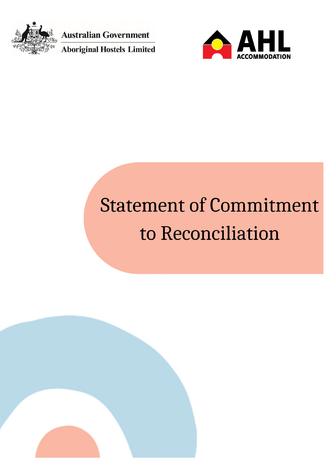

**Australian Government** 

**Aboriginal Hostels Limited** 



## **Statement of Commitment** to Reconciliation